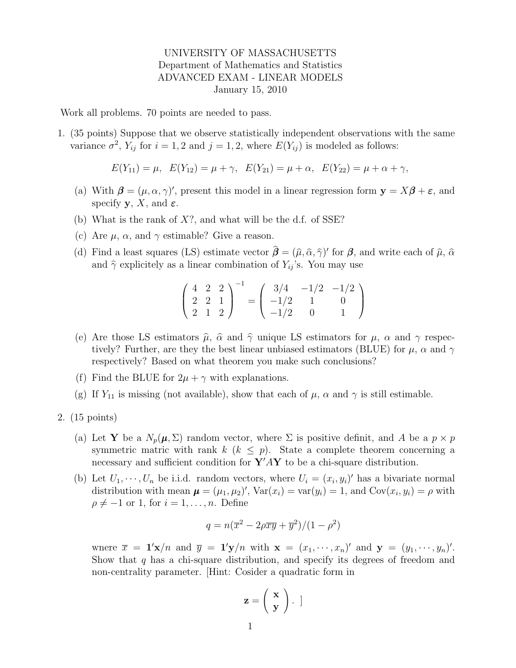## UNIVERSITY OF MASSACHUSETTS Department of Mathematics and Statistics ADVANCED EXAM - LINEAR MODELS January 15, 2010

Work all problems. 70 points are needed to pass.

1. (35 points) Suppose that we observe statistically independent observations with the same variance  $\sigma^2$ ,  $Y_{ij}$  for  $i = 1, 2$  and  $j = 1, 2$ , where  $E(Y_{ij})$  is modeled as follows:

$$
E(Y_{11}) = \mu, \quad E(Y_{12}) = \mu + \gamma, \quad E(Y_{21}) = \mu + \alpha, \quad E(Y_{22}) = \mu + \alpha + \gamma,
$$

- (a) With  $\beta = (\mu, \alpha, \gamma)'$ , present this model in a linear regression form  $y = X\beta + \varepsilon$ , and specify  $\mathbf{y}, X$ , and  $\varepsilon$ .
- (b) What is the rank of  $X$ ?, and what will be the d.f. of SSE?
- (c) Are  $\mu$ ,  $\alpha$ , and  $\gamma$  estimable? Give a reason.
- (d) Find a least squares (LS) estimate vector  $\hat{\beta} = (\hat{\mu}, \hat{\alpha}, \hat{\gamma})'$  for  $\beta$ , and write each of  $\hat{\mu}$ ,  $\hat{\alpha}$ and  $\hat{\gamma}$  explicitely as a linear combination of  $Y_{ij}$ 's. You may use

$$
\left(\begin{array}{ccc} 4 & 2 & 2 \\ 2 & 2 & 1 \\ 2 & 1 & 2 \end{array}\right)^{-1} = \left(\begin{array}{ccc} 3/4 & -1/2 & -1/2 \\ -1/2 & 1 & 0 \\ -1/2 & 0 & 1 \end{array}\right)
$$

- (e) Are those LS estimators  $\hat{\mu}$ ,  $\hat{\alpha}$  and  $\hat{\gamma}$  unique LS estimators for  $\mu$ ,  $\alpha$  and  $\gamma$  respectively? Further, are they the best linear unbiased estimators (BLUE) for  $\mu$ ,  $\alpha$  and  $\gamma$ respectively? Based on what theorem you make such conclusions?
- (f) Find the BLUE for  $2\mu + \gamma$  with explanations.
- (g) If  $Y_{11}$  is missing (not available), show that each of  $\mu$ ,  $\alpha$  and  $\gamma$  is still estimable.
- 2. (15 points)
	- (a) Let **Y** be a  $N_p(\mu, \Sigma)$  random vector, where  $\Sigma$  is positive definit, and A be a  $p \times p$ symmetric matric with rank  $k$  ( $k \leq p$ ). State a complete theorem concerning a necessary and sufficient condition for  ${\bf Y}'A{\bf Y}$  to be a chi-square distribution.
	- (b) Let  $U_1, \dots, U_n$  be i.i.d. random vectors, where  $U_i = (x_i, y_i)'$  has a bivariate normal distribution with mean  $\boldsymbol{\mu} = (\mu_1, \mu_2)'$ ,  $Var(x_i) = var(y_i) = 1$ , and  $Cov(x_i, y_i) = \rho$  with  $\rho \neq -1$  or 1, for  $i = 1, \ldots, n$ . Define

$$
q = n(\overline{x}^2 - 2\rho \overline{x} \overline{y} + \overline{y}^2)/(1 - \rho^2)
$$

where  $\overline{x} = \mathbf{1}'\mathbf{x}/n$  and  $\overline{y} = \mathbf{1}'\mathbf{y}/n$  with  $\mathbf{x} = (x_1, \dots, x_n)'$  and  $\mathbf{y} = (y_1, \dots, y_n)'$ . Show that  $q$  has a chi-square distribution, and specify its degrees of freedom and non-centrality parameter. [Hint: Cosider a quadratic form in

$$
\mathbf{z} = \left(\begin{array}{c} \mathbf{x} \\ \mathbf{y} \end{array}\right). \]
$$